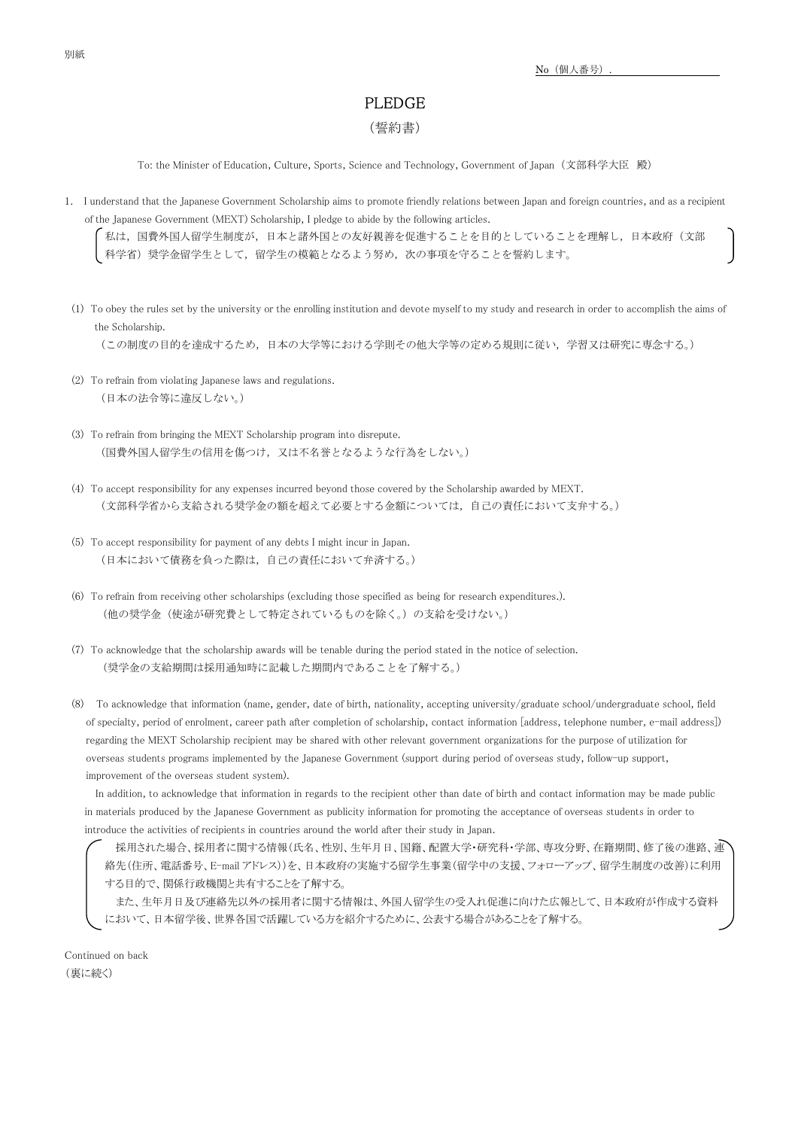## PLEDGE

## (誓約書)

To: the Minister of Education, Culture, Sports, Science and Technology, Government of Japan (文部科学大臣 殿)

1. I understand that the Japanese Government Scholarship aims to promote friendly relations between Japan and foreign countries, and as a recipient of the Japanese Government (MEXT) Scholarship, I pledge to abide by the following articles.

私は,国費外国人留学生制度が,日本と諸外国との友好親善を促進することを目的としていることを理解し,日本政府(文部 科学省)奨学金留学生として,留学生の模範となるよう努め,次の事項を守ることを誓約します。

 (1) To obey the rules set by the university or the enrolling institution and devote myself to my study and research in order to accomplish the aims of the Scholarship.

(この制度の目的を達成するため,日本の大学等における学則その他大学等の定める規則に従い,学習又は研究に専念する。)

- (2) To refrain from violating Japanese laws and regulations. (日本の法令等に違反しない。)
- (3) To refrain from bringing the MEXT Scholarship program into disrepute. (国費外国人留学生の信用を傷つけ,又は不名誉となるような行為をしない。)
- (4) To accept responsibility for any expenses incurred beyond those covered by the Scholarship awarded by MEXT. (文部科学省から支給される奨学金の額を超えて必要とする金額については,自己の責任において支弁する。)
- (5) To accept responsibility for payment of any debts I might incur in Japan. (日本において債務を負った際は,自己の責任において弁済する。)
- (6) To refrain from receiving other scholarships (excluding those specified as being for research expenditures.). (他の奨学金(使途が研究費として特定されているものを除く。)の支給を受けない。)
- (7) To acknowledge that the scholarship awards will be tenable during the period stated in the notice of selection. (奨学金の支給期間は採用通知時に記載した期間内であることを了解する。)
- (8) To acknowledge that information (name, gender, date of birth, nationality, accepting university/graduate school/undergraduate school, field of specialty, period of enrolment, career path after completion of scholarship, contact information [address, telephone number, e-mail address]) regarding the MEXT Scholarship recipient may be shared with other relevant government organizations for the purpose of utilization for overseas students programs implemented by the Japanese Government (support during period of overseas study, follow-up support, improvement of the overseas student system).

In addition, to acknowledge that information in regards to the recipient other than date of birth and contact information may be made public in materials produced by the Japanese Government as publicity information for promoting the acceptance of overseas students in order to introduce the activities of recipients in countries around the world after their study in Japan.

採用された場合、採用者に関する情報(氏名、性別、生年月日、国籍、配置大学・研究科・学部、専攻分野、在籍期間、修了後の進路、連 絡先(住所、電話番号、E-mail アドレス))を、日本政府の実施する留学生事業(留学中の支援、フォローアップ、留学生制度の改善)に利用 する目的で、関係行政機関と共有することを了解する。

また、生年月日及び連絡先以外の採用者に関する情報は、外国人留学生の受入れ促進に向けた広報として、日本政府が作成する資料 において、日本留学後、世界各国で活躍している方を紹介するために、公表する場合があることを了解する。

Continued on back (裏に続く)